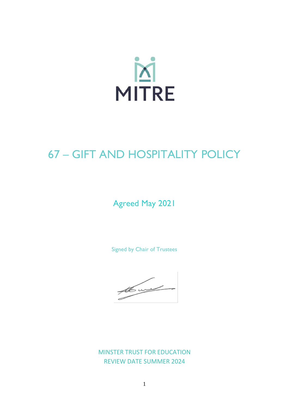

# 67 – GIFT AND HOSPITALITY POLICY

## Agreed May 2021

Signed by Chair of Trustees

the world

MINSTER TRUST FOR EDUCATION REVIEW DATE SUMMER 2024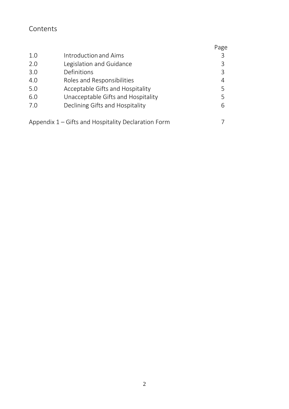### Contents

|     |                                                     | Page |
|-----|-----------------------------------------------------|------|
| 1.0 | Introduction and Aims                               | 3    |
| 2.0 | Legislation and Guidance                            | 3    |
| 3.0 | Definitions                                         | 3    |
| 4.0 | Roles and Responsibilities                          | 4    |
| 5.0 | Acceptable Gifts and Hospitality                    | 5    |
| 6.0 | Unacceptable Gifts and Hospitality                  | 5    |
| 7.0 | Declining Gifts and Hospitality                     | 6    |
|     |                                                     |      |
|     | Appendix 1 – Gifts and Hospitality Declaration Form |      |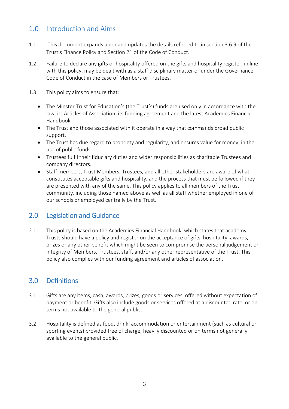### 1.0 Introduction and Aims

- 1.1 This document expands upon and updates the details referred to in section 3.6.9 of the Trust's Finance Policy and Section 21 of the Code of Conduct.
- 1.2 Failure to declare any gifts or hospitality offered on the gifts and hospitality register, in line with this policy, may be dealt with as a staff disciplinary matter or under the Governance Code of Conduct in the case of Members or Trustees.
- 1.3 This policy aims to ensure that:
	- The Minster Trust for Education's (the Trust's) funds are used only in accordance with the law, its Articles of Association, its funding agreement and the latest Academies Financial Handbook.
	- The Trust and those associated with it operate in a way that commands broad public support.
	- The Trust has due regard to propriety and regularity, and ensures value for money, in the use of public funds.
	- Trustees fulfil their fiduciary duties and wider responsibilities as charitable Trustees and company directors.
	- Staff members, Trust Members, Trustees, and all other stakeholders are aware of what constitutes acceptable gifts and hospitality, and the process that must be followed if they are presented with any of the same. This policy applies to all members of the Trust community, including those named above as well as all staff whether employed in one of our schools or employed centrally by the Trust.

### 2.0 Legislation and Guidance

2.1 This policy is based on the Academies Financial Handbook, which states that academy Trusts should have a policy and register on the acceptance of gifts, hospitality, awards, prizes or any other benefit which might be seen to compromise the personal judgement or integrity of Members, Trustees, staff, and/or any other representative of the Trust. This policy also complies with our funding agreement and articles of association.

### 3.0 Definitions

- 3.1 Gifts are any items, cash, awards, prizes, goods or services, offered without expectation of payment or benefit. Gifts also include goods or services offered at a discounted rate, or on terms not available to the general public.
- 3.2 Hospitality is defined as food, drink, accommodation or entertainment (such as cultural or sporting events) provided free of charge, heavily discounted or on terms not generally available to the general public.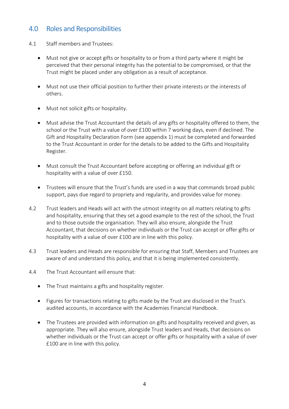#### 4.0 Roles and Responsibilities

- 4.1 Staff members and Trustees:
	- Must not give or accept gifts or hospitality to or from a third party where it might be perceived that their personal integrity has the potential to be compromised, or that the Trust might be placed under any obligation as a result of acceptance.
	- Must not use their official position to further their private interests or the interests of others.
	- Must not solicit gifts or hospitality.
	- Must advise the Trust Accountant the details of any gifts or hospitality offered to them, the school or the Trust with a value of over £100 within 7 working days, even if declined. The Gift and Hospitality Declaration Form (see appendix 1) must be completed and forwarded to the Trust Accountant in order for the details to be added to the Gifts and Hospitality Register.
	- Must consult the Trust Accountant before accepting or offering an individual gift or hospitality with a value of over £150.
	- Trustees will ensure that the Trust's funds are used in a way that commands broad public support, pays due regard to propriety and regularity, and provides value for money.
- 4.2 Trust leaders and Heads will act with the utmost integrity on all matters relating to gifts and hospitality, ensuring that they set a good example to the rest of the school, the Trust and to those outside the organisation. They will also ensure, alongside the Trust Accountant, that decisions on whether individuals or the Trust can accept or offer gifts or hospitality with a value of over £100 are in line with this policy.
- 4.3 Trust leaders and Heads are responsible for ensuring that Staff, Members and Trustees are aware of and understand this policy, and that it is being implemented consistently.
- 4.4 The Trust Accountant will ensure that:
	- The Trust maintains a gifts and hospitality register.
	- Figures for transactions relating to gifts made by the Trust are disclosed in the Trust's audited accounts, in accordance with the Academies Financial Handbook.
	- The Trustees are provided with information on gifts and hospitality received and given, as appropriate. They will also ensure, alongside Trust leaders and Heads, that decisions on whether individuals or the Trust can accept or offer gifts or hospitality with a value of over £100 are in line with this policy.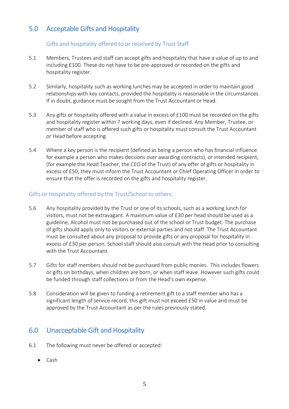#### 5.0 Acceptable Gifts and Hospitality

#### Gifts and hospitality offered to or received by Trust Staff

- 5.1 Members, Trustees and staff can accept gifts and hospitality that have a value of up to and including £100. These do not have to be pre-approved or recorded on the gifts and hospitality register.
- 5.2 Similarly, hospitality such as working lunches may be accepted in order to maintain good relationships with key contacts, provided the hospitality is reasonable in the circumstances. If in doubt, guidance must be sought from the Trust Accountant or Head.
- 5.3 Any gifts or hospitality offered with a value in excess of £100 must be recorded on the gifts and hospitality register within 7 working days, even if declined. Any Member, Trustee, or member of staff who is offered such gifts or hospitality must consult the Trust Accountant or Head before accepting.
- 5.4 Where a key person is the recipient (defined as being a person who has financial influence for example a person who makes decsions over awarding contracts), or intended recipient, (for example the Head Teacher, the CEO of the Trust) of any offer of gifts or hospitality in excess of £50, they must inform the Trust Accountant or Chief Operating Officer in order to ensure that the offer is recorded on the gifts and hospitality register.

#### Gifts or Hospitality offered by the Trust/School to others:

- 5.6 Any hospitality provided by the Trust or one of its schools, such as a working lunch for visitors, must not be extravagant. A maximum value of £30 per head should be used as a guideline. Alcohol must not be purchased out of the school or Trust budget. The purchase of gifts should apply only to visitors or external parties and not staff. The Trust Accountant must be consulted about any proposal to provide gifts or any proposal for hospitality in excess of £30 per person. School staff should also consult with the Head prior to consulting with the Trust Accountant.
- 5.7 Gifts for staff members should not be purchased from public monies. This includes flowers or gifts on birthdays, when children are born, or when staff leave. However such gifts could be funded through staff collections or from the Head's own expense.
- 5.8 Consideration will be given to funding a retirement gift to a staff member who has a significant length of service record, this gift must not exceed £50 in value and must be approved by the Trust Accountant as per the rules previously stated.

### 6.0 Unacceptable Gift and Hospitality

- 6.1 The following must never be offered or accepted:
	- Cash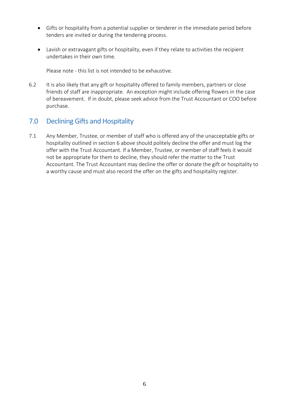- Gifts or hospitality from a potential supplier or tenderer in the immediate period before tenders are invited or during the tendering process.
- Lavish or extravagant gifts or hospitality, even if they relate to activities the recipient undertakes in their own time.

Please note - this list is not intended to be exhaustive.

6.2 It is also likely that any gift or hospitality offered to family members, partners or close friends of staff are inappropriate. An exception might include offering flowers in the case of bereavement. If in doubt, please seek advice from the Trust Accountant or COO before purchase.

#### 7.0 Declining Gifts and Hospitality

7.1 Any Member, Trustee, or member of staff who is offered any of the unacceptable gifts or hospitality outlined in section 6 above should politely decline the offer and must log the offer with the Trust Accountant. If a Member, Trustee, or member of staff feels it would not be appropriate for them to decline, they should refer the matter to the Trust Accountant. The Trust Accountant may decline the offer or donate the gift or hospitality to a worthy cause and must also record the offer on the gifts and hospitality register.